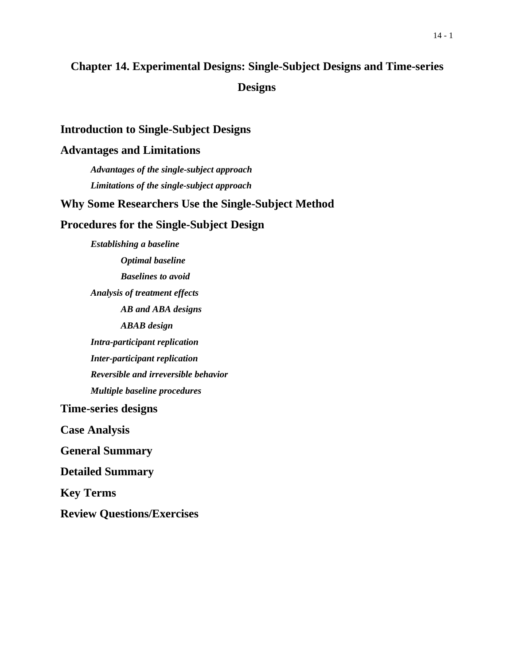# **Chapter 14. Experimental Designs: Single-Subject Designs and Time-series Designs**

## **Introduction to Single-Subject Designs**

# **Advantages and Limitations**

*Advantages of the single-subject approach Limitations of the single-subject approach*

# **Why Some Researchers Use the Single-Subject Method**

# **Procedures for the Single-Subject Design**

*Establishing a baseline Optimal baseline Baselines to avoid Analysis of treatment effects AB and ABA designs ABAB design Intra-participant replication Inter-participant replication Reversible and irreversible behavior Multiple baseline procedures* **Time-series designs Case Analysis General Summary Detailed Summary**

**Key Terms** 

**Review Questions/Exercises**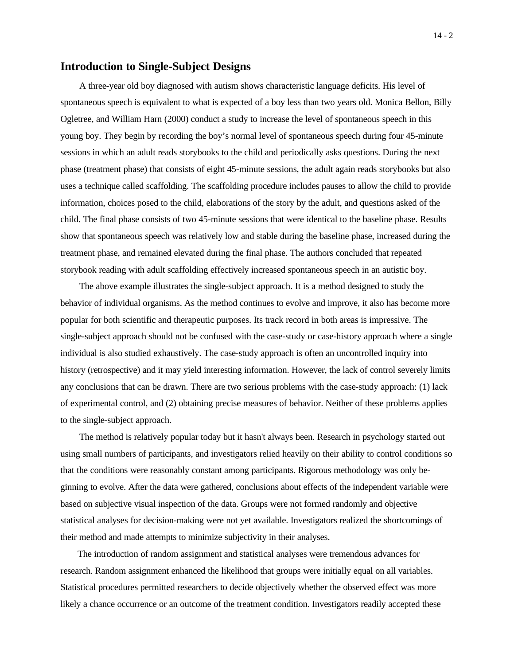### **Introduction to Single-Subject Designs**

A three-year old boy diagnosed with autism shows characteristic language deficits. His level of spontaneous speech is equivalent to what is expected of a boy less than two years old. Monica Bellon, Billy Ogletree, and William Harn (2000) conduct a study to increase the level of spontaneous speech in this young boy. They begin by recording the boy's normal level of spontaneous speech during four 45-minute sessions in which an adult reads storybooks to the child and periodically asks questions. During the next phase (treatment phase) that consists of eight 45-minute sessions, the adult again reads storybooks but also uses a technique called scaffolding. The scaffolding procedure includes pauses to allow the child to provide information, choices posed to the child, elaborations of the story by the adult, and questions asked of the child. The final phase consists of two 45-minute sessions that were identical to the baseline phase. Results show that spontaneous speech was relatively low and stable during the baseline phase, increased during the treatment phase, and remained elevated during the final phase. The authors concluded that repeated storybook reading with adult scaffolding effectively increased spontaneous speech in an autistic boy.

The above example illustrates the single-subject approach. It is a method designed to study the behavior of individual organisms. As the method continues to evolve and improve, it also has become more popular for both scientific and therapeutic purposes. Its track record in both areas is impressive. The single-subject approach should not be confused with the case-study or case-history approach where a single individual is also studied exhaustively. The case-study approach is often an uncontrolled inquiry into history (retrospective) and it may yield interesting information. However, the lack of control severely limits any conclusions that can be drawn. There are two serious problems with the case-study approach: (1) lack of experimental control, and (2) obtaining precise measures of behavior. Neither of these problems applies to the single-subject approach.

The method is relatively popular today but it hasn't always been. Research in psychology started out using small numbers of participants, and investigators relied heavily on their ability to control conditions so that the conditions were reasonably constant among participants. Rigorous methodology was only beginning to evolve. After the data were gathered, conclusions about effects of the independent variable were based on subjective visual inspection of the data. Groups were not formed randomly and objective statistical analyses for decision-making were not yet available. Investigators realized the shortcomings of their method and made attempts to minimize subjectivity in their analyses.

The introduction of random assignment and statistical analyses were tremendous advances for research. Random assignment enhanced the likelihood that groups were initially equal on all variables. Statistical procedures permitted researchers to decide objectively whether the observed effect was more likely a chance occurrence or an outcome of the treatment condition. Investigators readily accepted these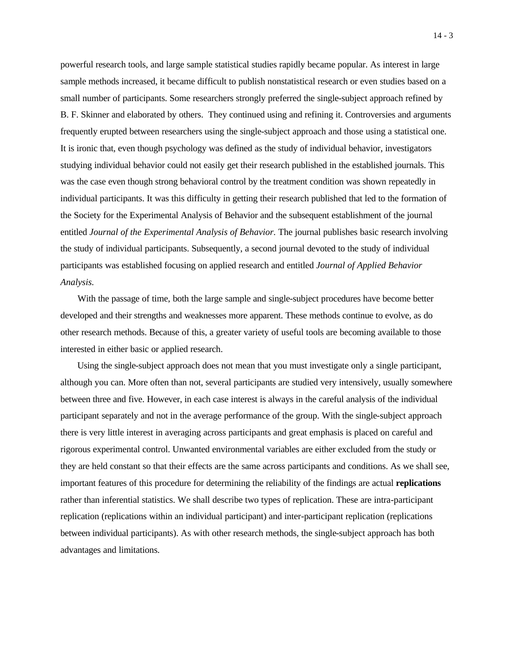powerful research tools, and large sample statistical studies rapidly became popular. As interest in large sample methods increased, it became difficult to publish nonstatistical research or even studies based on a small number of participants. Some researchers strongly preferred the single-subject approach refined by B. F. Skinner and elaborated by others. They continued using and refining it. Controversies and arguments frequently erupted between researchers using the single-subject approach and those using a statistical one. It is ironic that, even though psychology was defined as the study of individual behavior, investigators studying individual behavior could not easily get their research published in the established journals. This was the case even though strong behavioral control by the treatment condition was shown repeatedly in individual participants. It was this difficulty in getting their research published that led to the formation of the Society for the Experimental Analysis of Behavior and the subsequent establishment of the journal entitled *Journal of the Experimental Analysis of Behavior.* The journal publishes basic research involving the study of individual participants. Subsequently, a second journal devoted to the study of individual participants was established focusing on applied research and entitled *Journal of Applied Behavior Analysis.*

With the passage of time, both the large sample and single-subject procedures have become better developed and their strengths and weaknesses more apparent. These methods continue to evolve, as do other research methods. Because of this, a greater variety of useful tools are becoming available to those interested in either basic or applied research.

Using the single-subject approach does not mean that you must investigate only a single participant, although you can. More often than not, several participants are studied very intensively, usually somewhere between three and five. However, in each case interest is always in the careful analysis of the individual participant separately and not in the average performance of the group. With the single-subject approach there is very little interest in averaging across participants and great emphasis is placed on careful and rigorous experimental control. Unwanted environmental variables are either excluded from the study or they are held constant so that their effects are the same across participants and conditions. As we shall see, important features of this procedure for determining the reliability of the findings are actual **replications**  rather than inferential statistics. We shall describe two types of replication. These are intra-participant replication (replications within an individual participant) and inter-participant replication (replications between individual participants). As with other research methods, the single-subject approach has both advantages and limitations.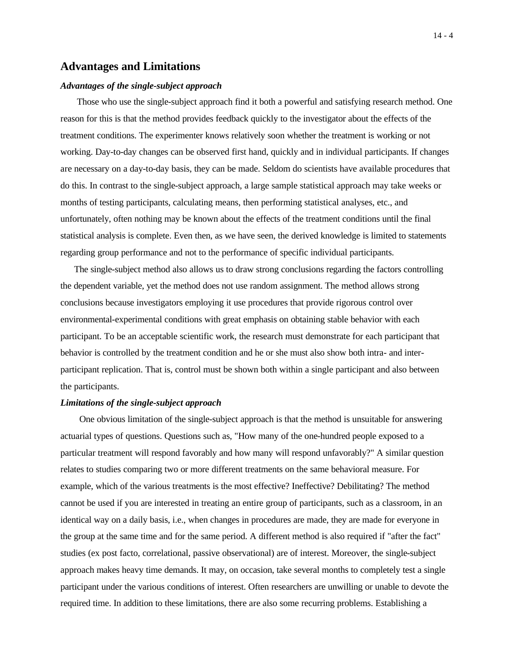## **Advantages and Limitations**

#### *Advantages of the single-subject approach*

Those who use the single-subject approach find it both a powerful and satisfying research method. One reason for this is that the method provides feedback quickly to the investigator about the effects of the treatment conditions. The experimenter knows relatively soon whether the treatment is working or not working. Day-to-day changes can be observed first hand, quickly and in individual participants. If changes are necessary on a day-to-day basis, they can be made. Seldom do scientists have available procedures that do this. In contrast to the single-subject approach, a large sample statistical approach may take weeks or months of testing participants, calculating means, then performing statistical analyses, etc., and unfortunately, often nothing may be known about the effects of the treatment conditions until the final statistical analysis is complete. Even then, as we have seen, the derived knowledge is limited to statements regarding group performance and not to the performance of specific individual participants.

The single-subject method also allows us to draw strong conclusions regarding the factors controlling the dependent variable, yet the method does not use random assignment. The method allows strong conclusions because investigators employing it use procedures that provide rigorous control over environmental-experimental conditions with great emphasis on obtaining stable behavior with each participant. To be an acceptable scientific work, the research must demonstrate for each participant that behavior is controlled by the treatment condition and he or she must also show both intra- and interparticipant replication. That is, control must be shown both within a single participant and also between the participants.

#### *Limitations of the single-subject approach*

One obvious limitation of the single-subject approach is that the method is unsuitable for answering actuarial types of questions. Questions such as, "How many of the one-hundred people exposed to a particular treatment will respond favorably and how many will respond unfavorably?" A similar question relates to studies comparing two or more different treatments on the same behavioral measure. For example, which of the various treatments is the most effective? Ineffective? Debilitating? The method cannot be used if you are interested in treating an entire group of participants, such as a classroom, in an identical way on a daily basis, i.e., when changes in procedures are made, they are made for everyone in the group at the same time and for the same period. A different method is also required if "after the fact" studies (ex post facto, correlational, passive observational) are of interest. Moreover, the single-subject approach makes heavy time demands. It may, on occasion, take several months to completely test a single participant under the various conditions of interest. Often researchers are unwilling or unable to devote the required time. In addition to these limitations, there are also some recurring problems. Establishing a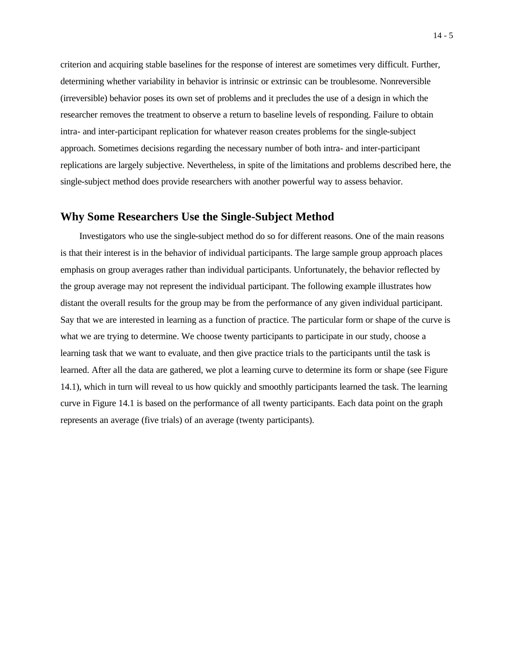criterion and acquiring stable baselines for the response of interest are sometimes very difficult. Further, determining whether variability in behavior is intrinsic or extrinsic can be troublesome. Nonreversible (irreversible) behavior poses its own set of problems and it precludes the use of a design in which the researcher removes the treatment to observe a return to baseline levels of responding. Failure to obtain intra- and inter-participant replication for whatever reason creates problems for the single-subject approach. Sometimes decisions regarding the necessary number of both intra- and inter-participant replications are largely subjective. Nevertheless, in spite of the limitations and problems described here, the single-subject method does provide researchers with another powerful way to assess behavior.

### **Why Some Researchers Use the Single-Subject Method**

Investigators who use the single-subject method do so for different reasons. One of the main reasons is that their interest is in the behavior of individual participants. The large sample group approach places emphasis on group averages rather than individual participants. Unfortunately, the behavior reflected by the group average may not represent the individual participant. The following example illustrates how distant the overall results for the group may be from the performance of any given individual participant. Say that we are interested in learning as a function of practice. The particular form or shape of the curve is what we are trying to determine. We choose twenty participants to participate in our study, choose a learning task that we want to evaluate, and then give practice trials to the participants until the task is learned. After all the data are gathered, we plot a learning curve to determine its form or shape (see Figure 14.1), which in turn will reveal to us how quickly and smoothly participants learned the task. The learning curve in Figure 14.1 is based on the performance of all twenty participants. Each data point on the graph represents an average (five trials) of an average (twenty participants).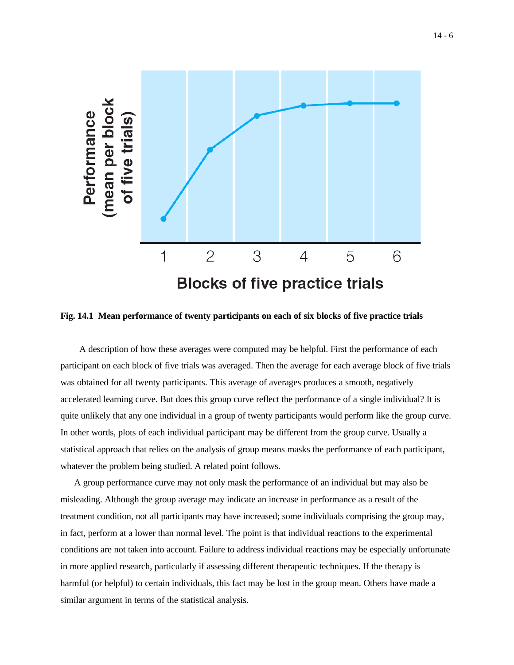

**Fig. 14.1 Mean performance of twenty participants on each of six blocks of five practice trials**

A description of how these averages were computed may be helpful. First the performance of each participant on each block of five trials was averaged. Then the average for each average block of five trials was obtained for all twenty participants. This average of averages produces a smooth, negatively accelerated learning curve. But does this group curve reflect the performance of a single individual? It is quite unlikely that any one individual in a group of twenty participants would perform like the group curve. In other words, plots of each individual participant may be different from the group curve. Usually a statistical approach that relies on the analysis of group means masks the performance of each participant, whatever the problem being studied. A related point follows.

A group performance curve may not only mask the performance of an individual but may also be misleading. Although the group average may indicate an increase in performance as a result of the treatment condition, not all participants may have increased; some individuals comprising the group may, in fact, perform at a lower than normal level. The point is that individual reactions to the experimental conditions are not taken into account. Failure to address individual reactions may be especially unfortunate in more applied research, particularly if assessing different therapeutic techniques. If the therapy is harmful (or helpful) to certain individuals, this fact may be lost in the group mean. Others have made a similar argument in terms of the statistical analysis.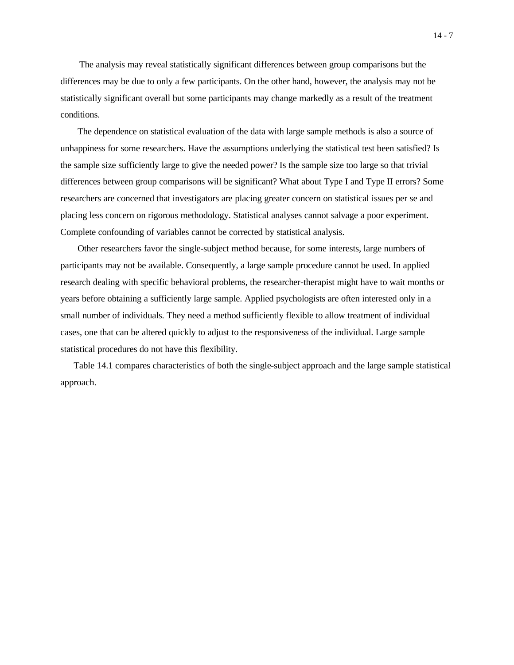The analysis may reveal statistically significant differences between group comparisons but the differences may be due to only a few participants. On the other hand, however, the analysis may not be statistically significant overall but some participants may change markedly as a result of the treatment conditions.

The dependence on statistical evaluation of the data with large sample methods is also a source of unhappiness for some researchers. Have the assumptions underlying the statistical test been satisfied? Is the sample size sufficiently large to give the needed power? Is the sample size too large so that trivial differences between group comparisons will be significant? What about Type I and Type II errors? Some researchers are concerned that investigators are placing greater concern on statistical issues per se and placing less concern on rigorous methodology. Statistical analyses cannot salvage a poor experiment. Complete confounding of variables cannot be corrected by statistical analysis.

Other researchers favor the single-subject method because, for some interests, large numbers of participants may not be available. Consequently, a large sample procedure cannot be used. In applied research dealing with specific behavioral problems, the researcher-therapist might have to wait months or years before obtaining a sufficiently large sample. Applied psychologists are often interested only in a small number of individuals. They need a method sufficiently flexible to allow treatment of individual cases, one that can be altered quickly to adjust to the responsiveness of the individual. Large sample statistical procedures do not have this flexibility.

Table 14.1 compares characteristics of both the single-subject approach and the large sample statistical approach.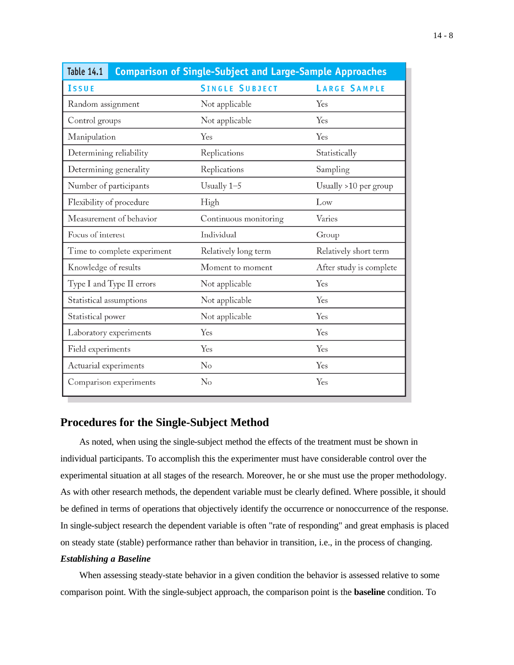| <b>Comparison of Single-Subject and Large-Sample Approaches</b><br><b>Table 14.1</b> |  |                       |                         |  |  |  |  |  |
|--------------------------------------------------------------------------------------|--|-----------------------|-------------------------|--|--|--|--|--|
| Issue                                                                                |  | <b>SINGLE SUBJECT</b> | <b>LARGE SAMPLE</b>     |  |  |  |  |  |
| Random assignment                                                                    |  | Not applicable        | Yes                     |  |  |  |  |  |
| Control groups                                                                       |  | Not applicable        | Yes                     |  |  |  |  |  |
| Manipulation                                                                         |  | Yes                   | Yes                     |  |  |  |  |  |
| Determining reliability                                                              |  | Replications          | Statistically           |  |  |  |  |  |
| Determining generality                                                               |  | Replications          | Sampling                |  |  |  |  |  |
| Number of participants                                                               |  | Usually $1-5$         | Usually $>10$ per group |  |  |  |  |  |
| Flexibility of procedure                                                             |  | High                  | Low                     |  |  |  |  |  |
| Measurement of behavior                                                              |  | Continuous monitoring | Varies                  |  |  |  |  |  |
| Focus of interest                                                                    |  | Individual            | Group                   |  |  |  |  |  |
| Time to complete experiment                                                          |  | Relatively long term  | Relatively short term   |  |  |  |  |  |
| Knowledge of results                                                                 |  | Moment to moment      | After study is complete |  |  |  |  |  |
| Type I and Type II errors                                                            |  | Not applicable        | Yes                     |  |  |  |  |  |
| Statistical assumptions                                                              |  | Not applicable        | Yes                     |  |  |  |  |  |
| Statistical power                                                                    |  | Not applicable        | Yes                     |  |  |  |  |  |
| Laboratory experiments                                                               |  | Yes                   | Yes                     |  |  |  |  |  |
| Field experiments                                                                    |  | Yes                   | Yes                     |  |  |  |  |  |
| Actuarial experiments                                                                |  | N <sub>o</sub>        | Yes                     |  |  |  |  |  |
| Comparison experiments                                                               |  | No                    | Yes                     |  |  |  |  |  |

## **Procedures for the Single-Subject Method**

As noted, when using the single-subject method the effects of the treatment must be shown in individual participants. To accomplish this the experimenter must have considerable control over the experimental situation at all stages of the research. Moreover, he or she must use the proper methodology. As with other research methods, the dependent variable must be clearly defined. Where possible, it should be defined in terms of operations that objectively identify the occurrence or nonoccurrence of the response. In single-subject research the dependent variable is often "rate of responding" and great emphasis is placed on steady state (stable) performance rather than behavior in transition, i.e., in the process of changing.

#### *Establishing a Baseline*

When assessing steady-state behavior in a given condition the behavior is assessed relative to some comparison point. With the single-subject approach, the comparison point is the **baseline** condition. To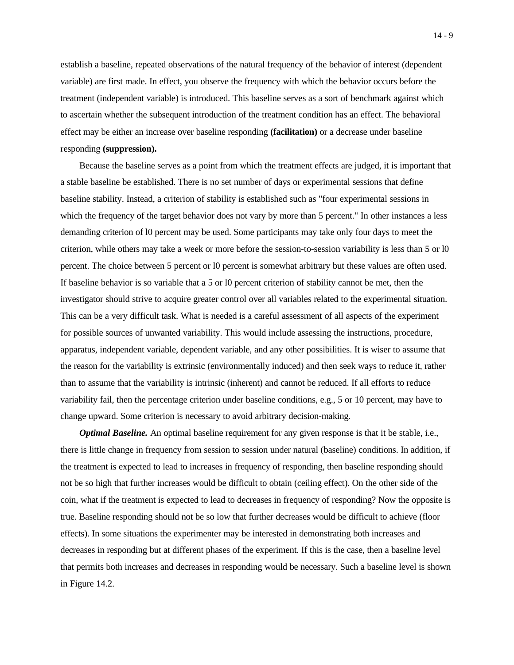establish a baseline, repeated observations of the natural frequency of the behavior of interest (dependent variable) are first made. In effect, you observe the frequency with which the behavior occurs before the treatment (independent variable) is introduced. This baseline serves as a sort of benchmark against which to ascertain whether the subsequent introduction of the treatment condition has an effect. The behavioral effect may be either an increase over baseline responding **(facilitation)** or a decrease under baseline responding **(suppression).**

Because the baseline serves as a point from which the treatment effects are judged, it is important that a stable baseline be established. There is no set number of days or experimental sessions that define baseline stability. Instead, a criterion of stability is established such as "four experimental sessions in which the frequency of the target behavior does not vary by more than 5 percent." In other instances a less demanding criterion of l0 percent may be used. Some participants may take only four days to meet the criterion, while others may take a week or more before the session-to-session variability is less than 5 or l0 percent. The choice between 5 percent or l0 percent is somewhat arbitrary but these values are often used. If baseline behavior is so variable that a 5 or l0 percent criterion of stability cannot be met, then the investigator should strive to acquire greater control over all variables related to the experimental situation. This can be a very difficult task. What is needed is a careful assessment of all aspects of the experiment for possible sources of unwanted variability. This would include assessing the instructions, procedure, apparatus, independent variable, dependent variable, and any other possibilities. It is wiser to assume that the reason for the variability is extrinsic (environmentally induced) and then seek ways to reduce it, rather than to assume that the variability is intrinsic (inherent) and cannot be reduced. If all efforts to reduce variability fail, then the percentage criterion under baseline conditions, e.g., 5 or 10 percent, may have to change upward. Some criterion is necessary to avoid arbitrary decision-making.

*Optimal Baseline.* An optimal baseline requirement for any given response is that it be stable, i.e., there is little change in frequency from session to session under natural (baseline) conditions. In addition, if the treatment is expected to lead to increases in frequency of responding, then baseline responding should not be so high that further increases would be difficult to obtain (ceiling effect). On the other side of the coin, what if the treatment is expected to lead to decreases in frequency of responding? Now the opposite is true. Baseline responding should not be so low that further decreases would be difficult to achieve (floor effects). In some situations the experimenter may be interested in demonstrating both increases and decreases in responding but at different phases of the experiment. If this is the case, then a baseline level that permits both increases and decreases in responding would be necessary. Such a baseline level is shown in Figure 14.2.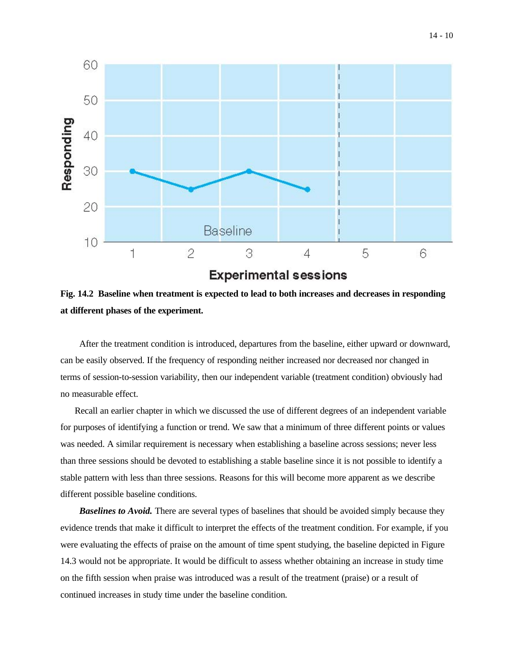

**Fig. 14.2 Baseline when treatment is expected to lead to both increases and decreases in responding at different phases of the experiment.**

After the treatment condition is introduced, departures from the baseline, either upward or downward, can be easily observed. If the frequency of responding neither increased nor decreased nor changed in terms of session-to-session variability, then our independent variable (treatment condition) obviously had no measurable effect.

Recall an earlier chapter in which we discussed the use of different degrees of an independent variable for purposes of identifying a function or trend. We saw that a minimum of three different points or values was needed. A similar requirement is necessary when establishing a baseline across sessions; never less than three sessions should be devoted to establishing a stable baseline since it is not possible to identify a stable pattern with less than three sessions. Reasons for this will become more apparent as we describe different possible baseline conditions.

*Baselines to Avoid.* There are several types of baselines that should be avoided simply because they evidence trends that make it difficult to interpret the effects of the treatment condition. For example, if you were evaluating the effects of praise on the amount of time spent studying, the baseline depicted in Figure 14.3 would not be appropriate. It would be difficult to assess whether obtaining an increase in study time on the fifth session when praise was introduced was a result of the treatment (praise) or a result of continued increases in study time under the baseline condition.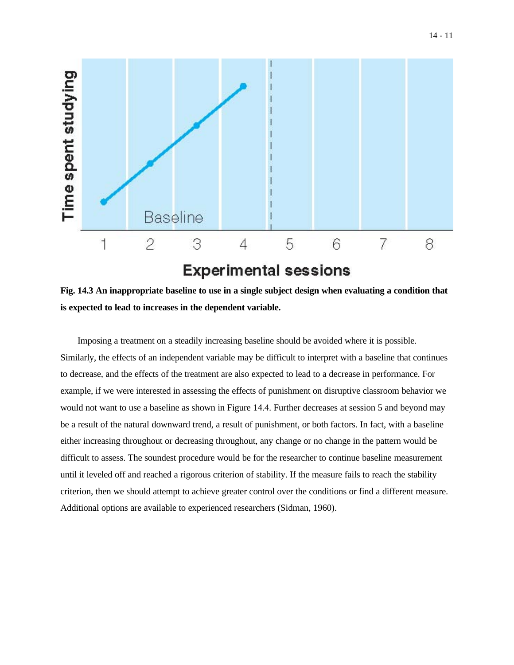

# **Experimental sessions**

**Fig. 14.3 An inappropriate baseline to use in a single subject design when evaluating a condition that is expected to lead to increases in the dependent variable.**

Imposing a treatment on a steadily increasing baseline should be avoided where it is possible. Similarly, the effects of an independent variable may be difficult to interpret with a baseline that continues to decrease, and the effects of the treatment are also expected to lead to a decrease in performance. For example, if we were interested in assessing the effects of punishment on disruptive classroom behavior we would not want to use a baseline as shown in Figure 14.4. Further decreases at session 5 and beyond may be a result of the natural downward trend, a result of punishment, or both factors. In fact, with a baseline either increasing throughout or decreasing throughout, any change or no change in the pattern would be difficult to assess. The soundest procedure would be for the researcher to continue baseline measurement until it leveled off and reached a rigorous criterion of stability. If the measure fails to reach the stability criterion, then we should attempt to achieve greater control over the conditions or find a different measure. Additional options are available to experienced researchers (Sidman, 1960).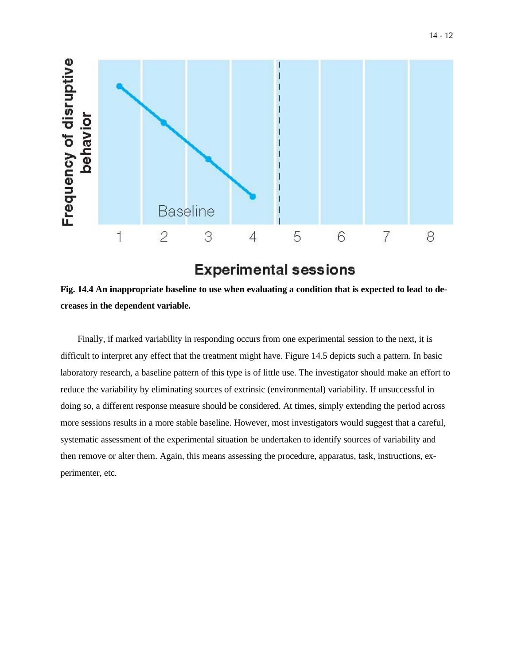



# **Experimental sessions**

**Fig. 14.4 An inappropriate baseline to use when evaluating a condition that is expected to lead to decreases in the dependent variable.**

Finally, if marked variability in responding occurs from one experimental session to the next, it is difficult to interpret any effect that the treatment might have. Figure 14.5 depicts such a pattern. In basic laboratory research, a baseline pattern of this type is of little use. The investigator should make an effort to reduce the variability by eliminating sources of extrinsic (environmental) variability. If unsuccessful in doing so, a different response measure should be considered. At times, simply extending the period across more sessions results in a more stable baseline. However, most investigators would suggest that a careful, systematic assessment of the experimental situation be undertaken to identify sources of variability and then remove or alter them. Again, this means assessing the procedure, apparatus, task, instructions, experimenter, etc.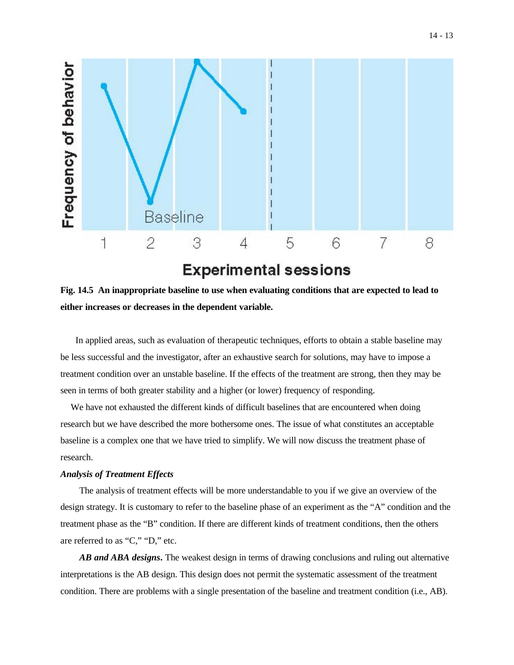



# **Experimental sessions**

**Fig. 14.5 An inappropriate baseline to use when evaluating conditions that are expected to lead to either increases or decreases in the dependent variable.**

In applied areas, such as evaluation of therapeutic techniques, efforts to obtain a stable baseline may be less successful and the investigator, after an exhaustive search for solutions, may have to impose a treatment condition over an unstable baseline. If the effects of the treatment are strong, then they may be seen in terms of both greater stability and a higher (or lower) frequency of responding.

We have not exhausted the different kinds of difficult baselines that are encountered when doing research but we have described the more bothersome ones. The issue of what constitutes an acceptable baseline is a complex one that we have tried to simplify. We will now discuss the treatment phase of research.

#### *Analysis of Treatment Effects*

The analysis of treatment effects will be more understandable to you if we give an overview of the design strategy. It is customary to refer to the baseline phase of an experiment as the "A" condition and the treatment phase as the "B" condition. If there are different kinds of treatment conditions, then the others are referred to as "C," "D," etc.

*AB and ABA designs***.** The weakest design in terms of drawing conclusions and ruling out alternative interpretations is the AB design. This design does not permit the systematic assessment of the treatment condition. There are problems with a single presentation of the baseline and treatment condition (i.e., AB).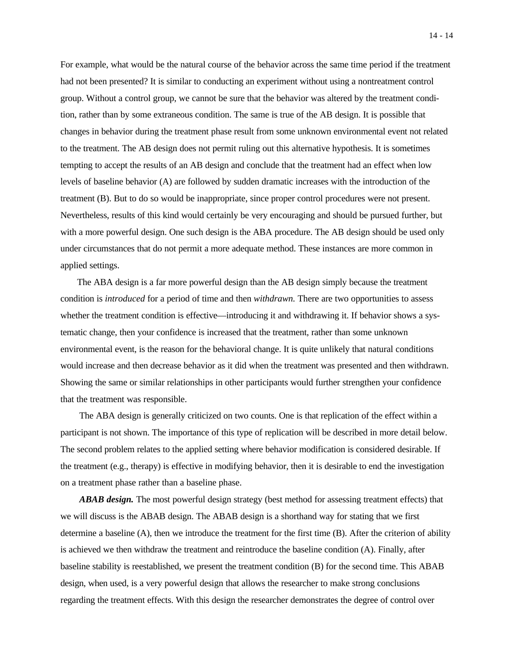For example, what would be the natural course of the behavior across the same time period if the treatment had not been presented? It is similar to conducting an experiment without using a nontreatment control group. Without a control group, we cannot be sure that the behavior was altered by the treatment condition, rather than by some extraneous condition. The same is true of the AB design. It is possible that changes in behavior during the treatment phase result from some unknown environmental event not related to the treatment. The AB design does not permit ruling out this alternative hypothesis. It is sometimes tempting to accept the results of an AB design and conclude that the treatment had an effect when low levels of baseline behavior (A) are followed by sudden dramatic increases with the introduction of the treatment (B). But to do so would be inappropriate, since proper control procedures were not present. Nevertheless, results of this kind would certainly be very encouraging and should be pursued further, but with a more powerful design. One such design is the ABA procedure. The AB design should be used only under circumstances that do not permit a more adequate method. These instances are more common in applied settings.

The ABA design is a far more powerful design than the AB design simply because the treatment condition is *introduced* for a period of time and then *withdrawn.* There are two opportunities to assess whether the treatment condition is effective—introducing it and withdrawing it. If behavior shows a systematic change, then your confidence is increased that the treatment, rather than some unknown environmental event, is the reason for the behavioral change. It is quite unlikely that natural conditions would increase and then decrease behavior as it did when the treatment was presented and then withdrawn. Showing the same or similar relationships in other participants would further strengthen your confidence that the treatment was responsible.

The ABA design is generally criticized on two counts. One is that replication of the effect within a participant is not shown. The importance of this type of replication will be described in more detail below. The second problem relates to the applied setting where behavior modification is considered desirable. If the treatment (e.g., therapy) is effective in modifying behavior, then it is desirable to end the investigation on a treatment phase rather than a baseline phase.

*ABAB design.* The most powerful design strategy (best method for assessing treatment effects) that we will discuss is the ABAB design. The ABAB design is a shorthand way for stating that we first determine a baseline (A), then we introduce the treatment for the first time (B). After the criterion of ability is achieved we then withdraw the treatment and reintroduce the baseline condition (A). Finally, after baseline stability is reestablished, we present the treatment condition (B) for the second time. This ABAB design, when used, is a very powerful design that allows the researcher to make strong conclusions regarding the treatment effects. With this design the researcher demonstrates the degree of control over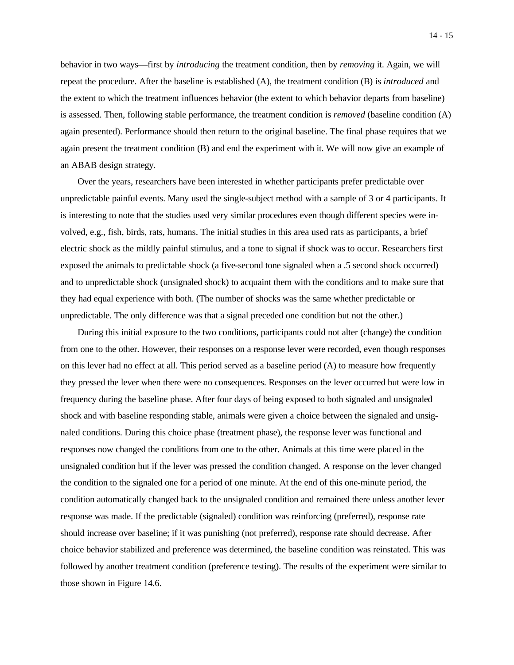behavior in two ways—first by *introducing* the treatment condition, then by *removing* it. Again, we will repeat the procedure. After the baseline is established (A), the treatment condition (B) is *introduced* and the extent to which the treatment influences behavior (the extent to which behavior departs from baseline) is assessed. Then, following stable performance, the treatment condition is *removed* (baseline condition (A) again presented). Performance should then return to the original baseline. The final phase requires that we again present the treatment condition (B) and end the experiment with it. We will now give an example of an ABAB design strategy.

Over the years, researchers have been interested in whether participants prefer predictable over unpredictable painful events. Many used the single-subject method with a sample of 3 or 4 participants. It is interesting to note that the studies used very similar procedures even though different species were involved, e.g., fish, birds, rats, humans. The initial studies in this area used rats as participants, a brief electric shock as the mildly painful stimulus, and a tone to signal if shock was to occur. Researchers first exposed the animals to predictable shock (a five-second tone signaled when a .5 second shock occurred) and to unpredictable shock (unsignaled shock) to acquaint them with the conditions and to make sure that they had equal experience with both. (The number of shocks was the same whether predictable or unpredictable. The only difference was that a signal preceded one condition but not the other.)

During this initial exposure to the two conditions, participants could not alter (change) the condition from one to the other. However, their responses on a response lever were recorded, even though responses on this lever had no effect at all. This period served as a baseline period (A) to measure how frequently they pressed the lever when there were no consequences. Responses on the lever occurred but were low in frequency during the baseline phase. After four days of being exposed to both signaled and unsignaled shock and with baseline responding stable, animals were given a choice between the signaled and unsignaled conditions. During this choice phase (treatment phase), the response lever was functional and responses now changed the conditions from one to the other. Animals at this time were placed in the unsignaled condition but if the lever was pressed the condition changed. A response on the lever changed the condition to the signaled one for a period of one minute. At the end of this one-minute period, the condition automatically changed back to the unsignaled condition and remained there unless another lever response was made. If the predictable (signaled) condition was reinforcing (preferred), response rate should increase over baseline; if it was punishing (not preferred), response rate should decrease. After choice behavior stabilized and preference was determined, the baseline condition was reinstated. This was followed by another treatment condition (preference testing). The results of the experiment were similar to those shown in Figure 14.6.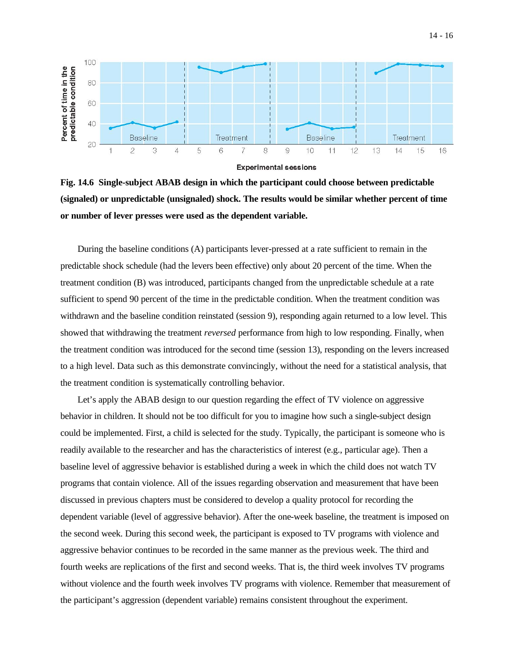

**Fig. 14.6 Single-subject ABAB design in which the participant could choose between predictable (signaled) or unpredictable (unsignaled) shock. The results would be similar whether percent of time or number of lever presses were used as the dependent variable.**

During the baseline conditions (A) participants lever-pressed at a rate sufficient to remain in the predictable shock schedule (had the levers been effective) only about 20 percent of the time. When the treatment condition (B) was introduced, participants changed from the unpredictable schedule at a rate sufficient to spend 90 percent of the time in the predictable condition. When the treatment condition was withdrawn and the baseline condition reinstated (session 9), responding again returned to a low level. This showed that withdrawing the treatment *reversed* performance from high to low responding. Finally, when the treatment condition was introduced for the second time (session 13), responding on the levers increased to a high level. Data such as this demonstrate convincingly, without the need for a statistical analysis, that the treatment condition is systematically controlling behavior.

Let's apply the ABAB design to our question regarding the effect of TV violence on aggressive behavior in children. It should not be too difficult for you to imagine how such a single-subject design could be implemented. First, a child is selected for the study. Typically, the participant is someone who is readily available to the researcher and has the characteristics of interest (e.g., particular age). Then a baseline level of aggressive behavior is established during a week in which the child does not watch TV programs that contain violence. All of the issues regarding observation and measurement that have been discussed in previous chapters must be considered to develop a quality protocol for recording the dependent variable (level of aggressive behavior). After the one-week baseline, the treatment is imposed on the second week. During this second week, the participant is exposed to TV programs with violence and aggressive behavior continues to be recorded in the same manner as the previous week. The third and fourth weeks are replications of the first and second weeks. That is, the third week involves TV programs without violence and the fourth week involves TV programs with violence. Remember that measurement of the participant's aggression (dependent variable) remains consistent throughout the experiment.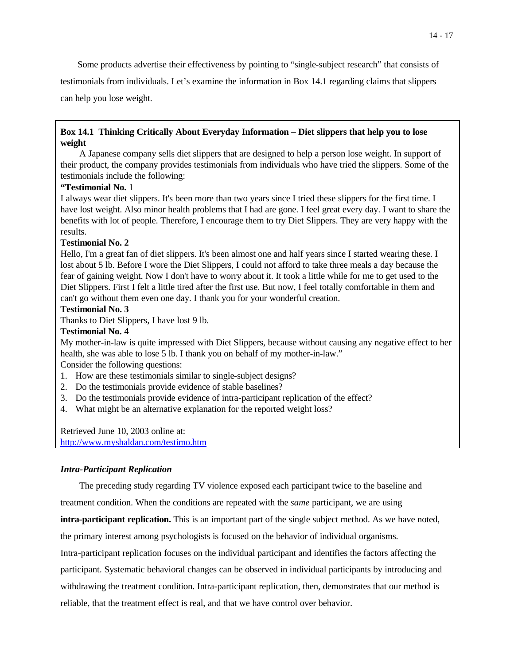Some products advertise their effectiveness by pointing to "single-subject research" that consists of

testimonials from individuals. Let's examine the information in Box 14.1 regarding claims that slippers

can help you lose weight.

#### **Box 14.1 Thinking Critically About Everyday Information – Diet slippers that help you to lose weight**

A Japanese company sells diet slippers that are designed to help a person lose weight. In support of their product, the company provides testimonials from individuals who have tried the slippers. Some of the testimonials include the following:

## **"Testimonial No.** 1

I always wear diet slippers. It's been more than two years since I tried these slippers for the first time. I have lost weight. Also minor health problems that I had are gone. I feel great every day. I want to share the benefits with lot of people. Therefore, I encourage them to try Diet Slippers. They are very happy with the results.

## **Testimonial No. 2**

Hello, I'm a great fan of diet slippers. It's been almost one and half years since I started wearing these. I lost about 5 lb. Before I wore the Diet Slippers, I could not afford to take three meals a day because the fear of gaining weight. Now I don't have to worry about it. It took a little while for me to get used to the Diet Slippers. First I felt a little tired after the first use. But now, I feel totally comfortable in them and can't go without them even one day. I thank you for your wonderful creation.

#### **Testimonial No. 3**

Thanks to Diet Slippers, I have lost 9 lb.

#### **Testimonial No. 4**

My mother-in-law is quite impressed with Diet Slippers, because without causing any negative effect to her health, she was able to lose 5 lb. I thank you on behalf of my mother-in-law."

Consider the following questions:

- 1. How are these testimonials similar to single-subject designs?
- 2. Do the testimonials provide evidence of stable baselines?
- 3. Do the testimonials provide evidence of intra-participant replication of the effect?
- 4. What might be an alternative explanation for the reported weight loss?

Retrieved June 10, 2003 online at:

http://www.myshaldan.com/testimo.htm

## *Intra-Participant Replication*

The preceding study regarding TV violence exposed each participant twice to the baseline and

treatment condition. When the conditions are repeated with the *same* participant, we are using

**intra-participant replication.** This is an important part of the single subject method. As we have noted,

the primary interest among psychologists is focused on the behavior of individual organisms.

Intra-participant replication focuses on the individual participant and identifies the factors affecting the participant. Systematic behavioral changes can be observed in individual participants by introducing and withdrawing the treatment condition. Intra-participant replication, then, demonstrates that our method is reliable, that the treatment effect is real, and that we have control over behavior.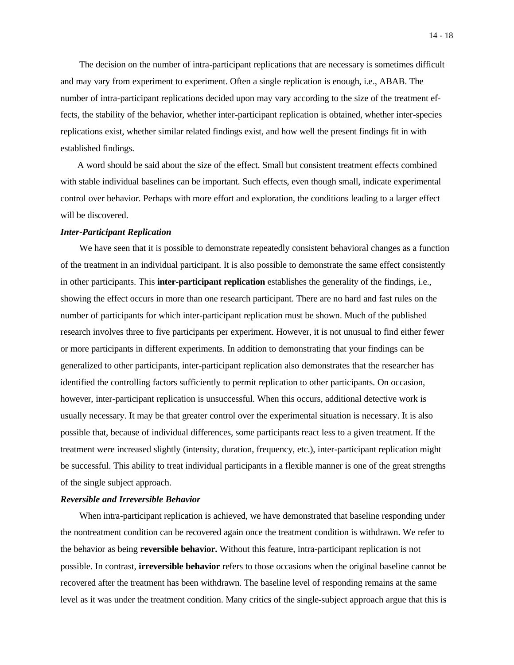The decision on the number of intra-participant replications that are necessary is sometimes difficult and may vary from experiment to experiment. Often a single replication is enough, i.e., ABAB. The number of intra-participant replications decided upon may vary according to the size of the treatment effects, the stability of the behavior, whether inter-participant replication is obtained, whether inter-species replications exist, whether similar related findings exist, and how well the present findings fit in with established findings.

A word should be said about the size of the effect. Small but consistent treatment effects combined with stable individual baselines can be important. Such effects, even though small, indicate experimental control over behavior. Perhaps with more effort and exploration, the conditions leading to a larger effect will be discovered.

#### *Inter-Participant Replication*

We have seen that it is possible to demonstrate repeatedly consistent behavioral changes as a function of the treatment in an individual participant. It is also possible to demonstrate the same effect consistently in other participants. This **inter-participant replication** establishes the generality of the findings, i.e., showing the effect occurs in more than one research participant. There are no hard and fast rules on the number of participants for which inter-participant replication must be shown. Much of the published research involves three to five participants per experiment. However, it is not unusual to find either fewer or more participants in different experiments. In addition to demonstrating that your findings can be generalized to other participants, inter-participant replication also demonstrates that the researcher has identified the controlling factors sufficiently to permit replication to other participants. On occasion, however, inter-participant replication is unsuccessful. When this occurs, additional detective work is usually necessary. It may be that greater control over the experimental situation is necessary. It is also possible that, because of individual differences, some participants react less to a given treatment. If the treatment were increased slightly (intensity, duration, frequency, etc.), inter-participant replication might be successful. This ability to treat individual participants in a flexible manner is one of the great strengths of the single subject approach.

#### *Reversible and Irreversible Behavior*

When intra-participant replication is achieved, we have demonstrated that baseline responding under the nontreatment condition can be recovered again once the treatment condition is withdrawn. We refer to the behavior as being **reversible behavior.** Without this feature, intra-participant replication is not possible. In contrast, **irreversible behavior** refers to those occasions when the original baseline cannot be recovered after the treatment has been withdrawn. The baseline level of responding remains at the same level as it was under the treatment condition. Many critics of the single-subject approach argue that this is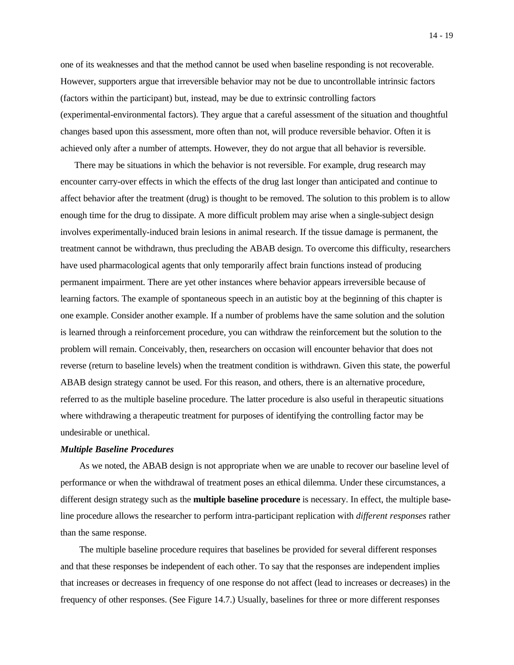one of its weaknesses and that the method cannot be used when baseline responding is not recoverable. However, supporters argue that irreversible behavior may not be due to uncontrollable intrinsic factors (factors within the participant) but, instead, may be due to extrinsic controlling factors (experimental-environmental factors). They argue that a careful assessment of the situation and thoughtful changes based upon this assessment, more often than not, will produce reversible behavior. Often it is achieved only after a number of attempts. However, they do not argue that all behavior is reversible.

There may be situations in which the behavior is not reversible. For example, drug research may encounter carry-over effects in which the effects of the drug last longer than anticipated and continue to affect behavior after the treatment (drug) is thought to be removed. The solution to this problem is to allow enough time for the drug to dissipate. A more difficult problem may arise when a single-subject design involves experimentally-induced brain lesions in animal research. If the tissue damage is permanent, the treatment cannot be withdrawn, thus precluding the ABAB design. To overcome this difficulty, researchers have used pharmacological agents that only temporarily affect brain functions instead of producing permanent impairment. There are yet other instances where behavior appears irreversible because of learning factors. The example of spontaneous speech in an autistic boy at the beginning of this chapter is one example. Consider another example. If a number of problems have the same solution and the solution is learned through a reinforcement procedure, you can withdraw the reinforcement but the solution to the problem will remain. Conceivably, then, researchers on occasion will encounter behavior that does not reverse (return to baseline levels) when the treatment condition is withdrawn. Given this state, the powerful ABAB design strategy cannot be used. For this reason, and others, there is an alternative procedure, referred to as the multiple baseline procedure. The latter procedure is also useful in therapeutic situations where withdrawing a therapeutic treatment for purposes of identifying the controlling factor may be undesirable or unethical.

#### *Multiple Baseline Procedures*

As we noted, the ABAB design is not appropriate when we are unable to recover our baseline level of performance or when the withdrawal of treatment poses an ethical dilemma. Under these circumstances, a different design strategy such as the **multiple baseline procedure** is necessary. In effect, the multiple baseline procedure allows the researcher to perform intra-participant replication with *different responses* rather than the same response.

The multiple baseline procedure requires that baselines be provided for several different responses and that these responses be independent of each other. To say that the responses are independent implies that increases or decreases in frequency of one response do not affect (lead to increases or decreases) in the frequency of other responses. (See Figure 14.7.) Usually, baselines for three or more different responses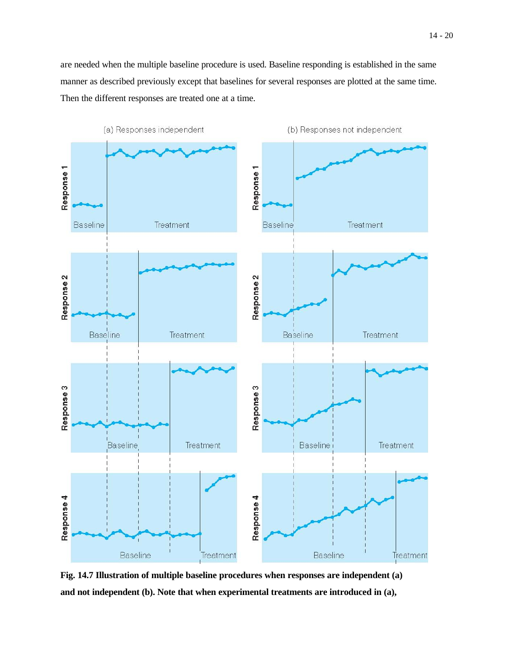are needed when the multiple baseline procedure is used. Baseline responding is established in the same manner as described previously except that baselines for several responses are plotted at the same time. Then the different responses are treated one at a time.



**Fig. 14.7 Illustration of multiple baseline procedures when responses are independent (a) and not independent (b). Note that when experimental treatments are introduced in (a),**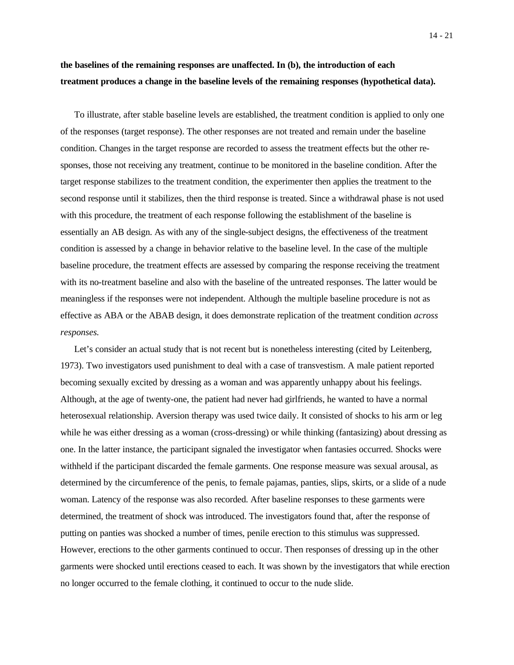# **the baselines of the remaining responses are unaffected. In (b), the introduction of each treatment produces a change in the baseline levels of the remaining responses (hypothetical data).**

To illustrate, after stable baseline levels are established, the treatment condition is applied to only one of the responses (target response). The other responses are not treated and remain under the baseline condition. Changes in the target response are recorded to assess the treatment effects but the other responses, those not receiving any treatment, continue to be monitored in the baseline condition. After the target response stabilizes to the treatment condition, the experimenter then applies the treatment to the second response until it stabilizes, then the third response is treated. Since a withdrawal phase is not used with this procedure, the treatment of each response following the establishment of the baseline is essentially an AB design. As with any of the single-subject designs, the effectiveness of the treatment condition is assessed by a change in behavior relative to the baseline level. In the case of the multiple baseline procedure, the treatment effects are assessed by comparing the response receiving the treatment with its no-treatment baseline and also with the baseline of the untreated responses. The latter would be meaningless if the responses were not independent. Although the multiple baseline procedure is not as effective as ABA or the ABAB design, it does demonstrate replication of the treatment condition *across responses.*

Let's consider an actual study that is not recent but is nonetheless interesting (cited by Leitenberg, 1973). Two investigators used punishment to deal with a case of transvestism. A male patient reported becoming sexually excited by dressing as a woman and was apparently unhappy about his feelings. Although, at the age of twenty-one, the patient had never had girlfriends, he wanted to have a normal heterosexual relationship. Aversion therapy was used twice daily. It consisted of shocks to his arm or leg while he was either dressing as a woman (cross-dressing) or while thinking (fantasizing) about dressing as one. In the latter instance, the participant signaled the investigator when fantasies occurred. Shocks were withheld if the participant discarded the female garments. One response measure was sexual arousal, as determined by the circumference of the penis, to female pajamas, panties, slips, skirts, or a slide of a nude woman. Latency of the response was also recorded. After baseline responses to these garments were determined, the treatment of shock was introduced. The investigators found that, after the response of putting on panties was shocked a number of times, penile erection to this stimulus was suppressed. However, erections to the other garments continued to occur. Then responses of dressing up in the other garments were shocked until erections ceased to each. It was shown by the investigators that while erection no longer occurred to the female clothing, it continued to occur to the nude slide.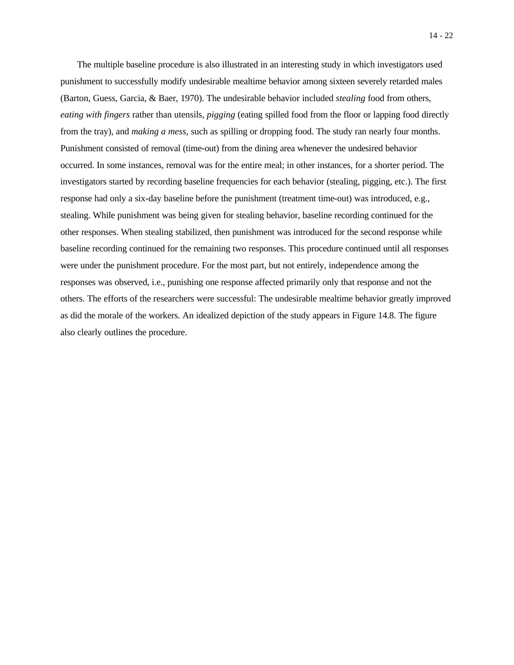The multiple baseline procedure is also illustrated in an interesting study in which investigators used punishment to successfully modify undesirable mealtime behavior among sixteen severely retarded males (Barton, Guess, Garcia, & Baer, 1970). The undesirable behavior included *stealing* food from others, *eating with fingers* rather than utensils, *pigging* (eating spilled food from the floor or lapping food directly from the tray), and *making a mess,* such as spilling or dropping food. The study ran nearly four months. Punishment consisted of removal (time-out) from the dining area whenever the undesired behavior occurred. In some instances, removal was for the entire meal; in other instances, for a shorter period. The investigators started by recording baseline frequencies for each behavior (stealing, pigging, etc.). The first response had only a six-day baseline before the punishment (treatment time-out) was introduced, e.g., stealing. While punishment was being given for stealing behavior, baseline recording continued for the other responses. When stealing stabilized, then punishment was introduced for the second response while baseline recording continued for the remaining two responses. This procedure continued until all responses were under the punishment procedure. For the most part, but not entirely, independence among the responses was observed, i.e., punishing one response affected primarily only that response and not the others. The efforts of the researchers were successful: The undesirable mealtime behavior greatly improved as did the morale of the workers. An idealized depiction of the study appears in Figure 14.8. The figure also clearly outlines the procedure.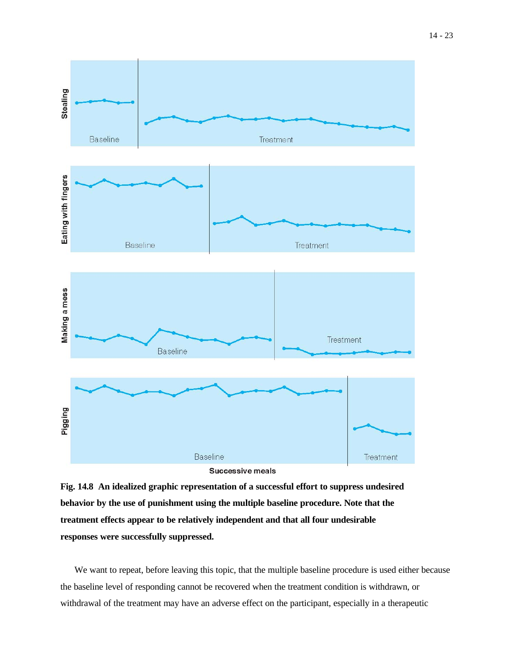

**Fig. 14.8 An idealized graphic representation of a successful effort to suppress undesired behavior by the use of punishment using the multiple baseline procedure. Note that the treatment effects appear to be relatively independent and that all four undesirable responses were successfully suppressed.**

We want to repeat, before leaving this topic, that the multiple baseline procedure is used either because the baseline level of responding cannot be recovered when the treatment condition is withdrawn, or withdrawal of the treatment may have an adverse effect on the participant, especially in a therapeutic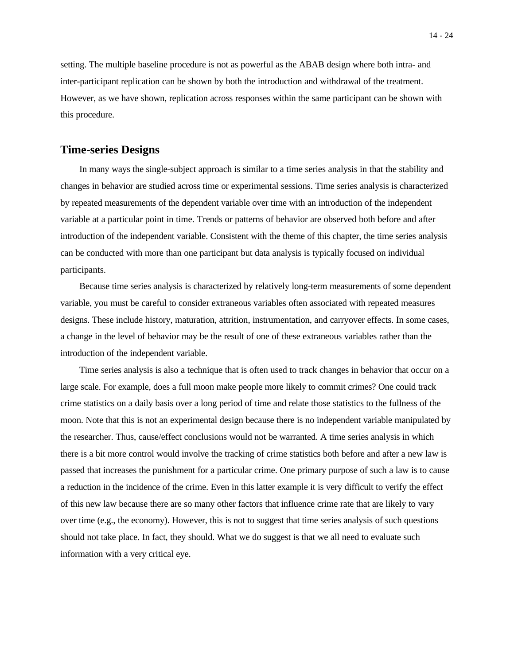setting. The multiple baseline procedure is not as powerful as the ABAB design where both intra- and inter-participant replication can be shown by both the introduction and withdrawal of the treatment. However, as we have shown, replication across responses within the same participant can be shown with this procedure.

#### **Time-series Designs**

In many ways the single-subject approach is similar to a time series analysis in that the stability and changes in behavior are studied across time or experimental sessions. Time series analysis is characterized by repeated measurements of the dependent variable over time with an introduction of the independent variable at a particular point in time. Trends or patterns of behavior are observed both before and after introduction of the independent variable. Consistent with the theme of this chapter, the time series analysis can be conducted with more than one participant but data analysis is typically focused on individual participants.

Because time series analysis is characterized by relatively long-term measurements of some dependent variable, you must be careful to consider extraneous variables often associated with repeated measures designs. These include history, maturation, attrition, instrumentation, and carryover effects. In some cases, a change in the level of behavior may be the result of one of these extraneous variables rather than the introduction of the independent variable.

Time series analysis is also a technique that is often used to track changes in behavior that occur on a large scale. For example, does a full moon make people more likely to commit crimes? One could track crime statistics on a daily basis over a long period of time and relate those statistics to the fullness of the moon. Note that this is not an experimental design because there is no independent variable manipulated by the researcher. Thus, cause/effect conclusions would not be warranted. A time series analysis in which there is a bit more control would involve the tracking of crime statistics both before and after a new law is passed that increases the punishment for a particular crime. One primary purpose of such a law is to cause a reduction in the incidence of the crime. Even in this latter example it is very difficult to verify the effect of this new law because there are so many other factors that influence crime rate that are likely to vary over time (e.g., the economy). However, this is not to suggest that time series analysis of such questions should not take place. In fact, they should. What we do suggest is that we all need to evaluate such information with a very critical eye.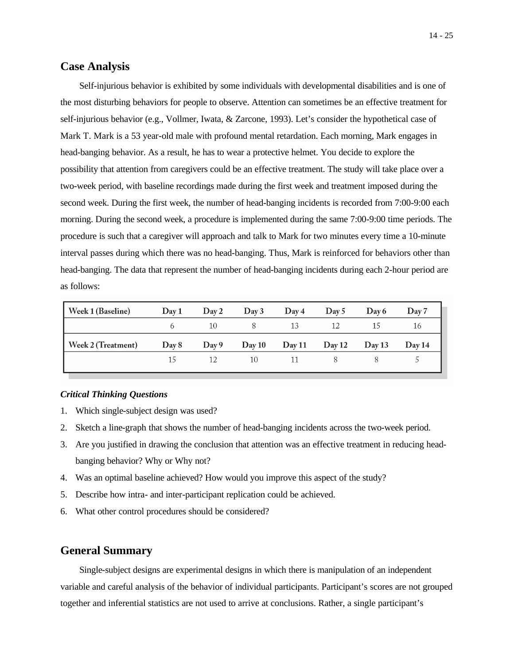## **Case Analysis**

Self-injurious behavior is exhibited by some individuals with developmental disabilities and is one of the most disturbing behaviors for people to observe. Attention can sometimes be an effective treatment for self-injurious behavior (e.g., Vollmer, Iwata, & Zarcone, 1993). Let's consider the hypothetical case of Mark T. Mark is a 53 year-old male with profound mental retardation. Each morning, Mark engages in head-banging behavior. As a result, he has to wear a protective helmet. You decide to explore the possibility that attention from caregivers could be an effective treatment. The study will take place over a two-week period, with baseline recordings made during the first week and treatment imposed during the second week. During the first week, the number of head-banging incidents is recorded from 7:00-9:00 each morning. During the second week, a procedure is implemented during the same 7:00-9:00 time periods. The procedure is such that a caregiver will approach and talk to Mark for two minutes every time a 10-minute interval passes during which there was no head-banging. Thus, Mark is reinforced for behaviors other than head-banging. The data that represent the number of head-banging incidents during each 2-hour period are as follows:

| <b>Week 1 (Baseline)</b>  | $\mathrm{D}$ av 1 | $\mathrm{D}$ av 2 | $\text{D}$ av 3                     | $\mathrm{D}$ av 4 | $\mathrm{D}$ av 5 | $\mathrm{D}$ av 6 | $\mathrm{D}$ av 7 |
|---------------------------|-------------------|-------------------|-------------------------------------|-------------------|-------------------|-------------------|-------------------|
|                           |                   |                   |                                     |                   |                   |                   | 16                |
|                           |                   |                   |                                     |                   |                   |                   |                   |
| <b>Week 2 (Treatment)</b> | $\bf Day 8$       | Day 9             | $Day 10$ $Day 11$ $Day 12$ $Day 13$ |                   |                   |                   | Day 14            |

#### *Critical Thinking Questions*

- 1. Which single-subject design was used?
- 2. Sketch a line-graph that shows the number of head-banging incidents across the two-week period.
- 3. Are you justified in drawing the conclusion that attention was an effective treatment in reducing headbanging behavior? Why or Why not?
- 4. Was an optimal baseline achieved? How would you improve this aspect of the study?
- 5. Describe how intra- and inter-participant replication could be achieved.
- 6. What other control procedures should be considered?

### **General Summary**

Single-subject designs are experimental designs in which there is manipulation of an independent variable and careful analysis of the behavior of individual participants. Participant's scores are not grouped together and inferential statistics are not used to arrive at conclusions. Rather, a single participant's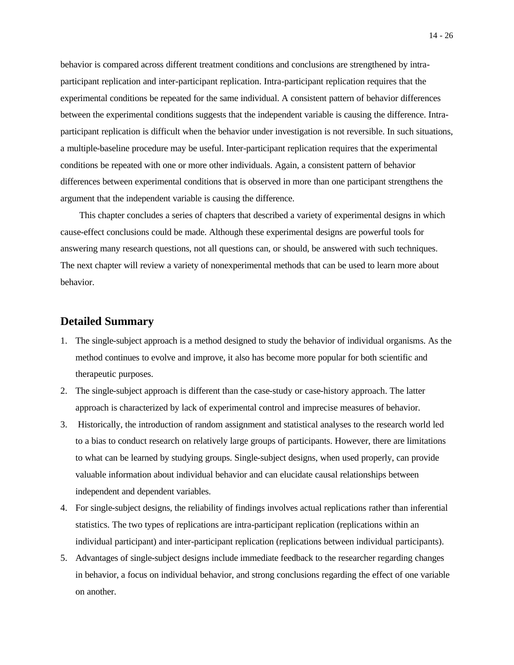behavior is compared across different treatment conditions and conclusions are strengthened by intraparticipant replication and inter-participant replication. Intra-participant replication requires that the experimental conditions be repeated for the same individual. A consistent pattern of behavior differences between the experimental conditions suggests that the independent variable is causing the difference. Intraparticipant replication is difficult when the behavior under investigation is not reversible. In such situations, a multiple-baseline procedure may be useful. Inter-participant replication requires that the experimental conditions be repeated with one or more other individuals. Again, a consistent pattern of behavior differences between experimental conditions that is observed in more than one participant strengthens the argument that the independent variable is causing the difference.

This chapter concludes a series of chapters that described a variety of experimental designs in which cause-effect conclusions could be made. Although these experimental designs are powerful tools for answering many research questions, not all questions can, or should, be answered with such techniques. The next chapter will review a variety of nonexperimental methods that can be used to learn more about behavior.

## **Detailed Summary**

- 1. The single-subject approach is a method designed to study the behavior of individual organisms. As the method continues to evolve and improve, it also has become more popular for both scientific and therapeutic purposes.
- 2. The single-subject approach is different than the case-study or case-history approach. The latter approach is characterized by lack of experimental control and imprecise measures of behavior.
- 3. Historically, the introduction of random assignment and statistical analyses to the research world led to a bias to conduct research on relatively large groups of participants. However, there are limitations to what can be learned by studying groups. Single-subject designs, when used properly, can provide valuable information about individual behavior and can elucidate causal relationships between independent and dependent variables.
- 4. For single-subject designs, the reliability of findings involves actual replications rather than inferential statistics. The two types of replications are intra-participant replication (replications within an individual participant) and inter-participant replication (replications between individual participants).
- 5. Advantages of single-subject designs include immediate feedback to the researcher regarding changes in behavior, a focus on individual behavior, and strong conclusions regarding the effect of one variable on another.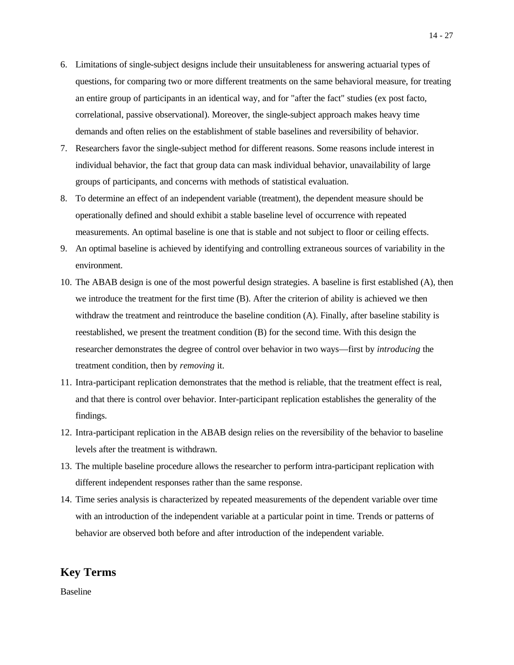- 6. Limitations of single-subject designs include their unsuitableness for answering actuarial types of questions, for comparing two or more different treatments on the same behavioral measure, for treating an entire group of participants in an identical way, and for "after the fact" studies (ex post facto, correlational, passive observational). Moreover, the single-subject approach makes heavy time demands and often relies on the establishment of stable baselines and reversibility of behavior.
- 7. Researchers favor the single-subject method for different reasons. Some reasons include interest in individual behavior, the fact that group data can mask individual behavior, unavailability of large groups of participants, and concerns with methods of statistical evaluation.
- 8. To determine an effect of an independent variable (treatment), the dependent measure should be operationally defined and should exhibit a stable baseline level of occurrence with repeated measurements. An optimal baseline is one that is stable and not subject to floor or ceiling effects.
- 9. An optimal baseline is achieved by identifying and controlling extraneous sources of variability in the environment.
- 10. The ABAB design is one of the most powerful design strategies. A baseline is first established (A), then we introduce the treatment for the first time (B). After the criterion of ability is achieved we then withdraw the treatment and reintroduce the baseline condition (A). Finally, after baseline stability is reestablished, we present the treatment condition (B) for the second time. With this design the researcher demonstrates the degree of control over behavior in two ways—first by *introducing* the treatment condition, then by *removing* it.
- 11. Intra-participant replication demonstrates that the method is reliable, that the treatment effect is real, and that there is control over behavior. Inter-participant replication establishes the generality of the findings.
- 12. Intra-participant replication in the ABAB design relies on the reversibility of the behavior to baseline levels after the treatment is withdrawn.
- 13. The multiple baseline procedure allows the researcher to perform intra-participant replication with different independent responses rather than the same response.
- 14. Time series analysis is characterized by repeated measurements of the dependent variable over time with an introduction of the independent variable at a particular point in time. Trends or patterns of behavior are observed both before and after introduction of the independent variable.

## **Key Terms**

Baseline